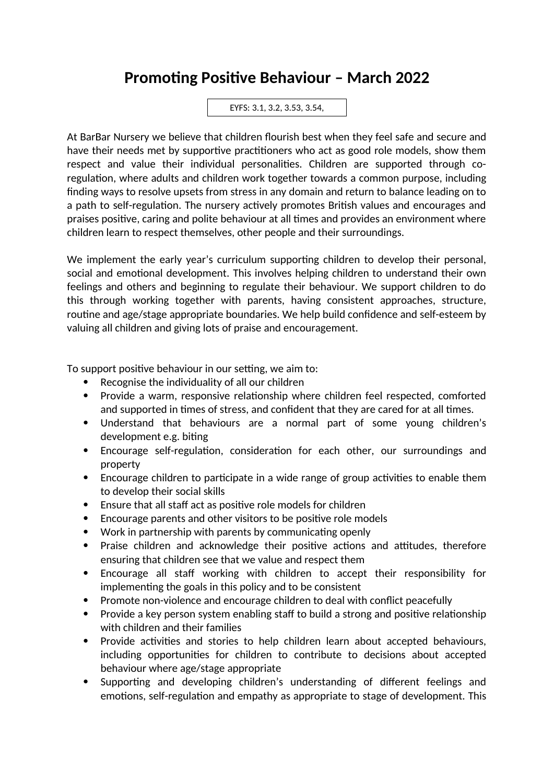## **Promoting Positive Behaviour – March 2022**

EYFS: 3.1, 3.2, 3.53, 3.54,

At BarBar Nursery we believe that children flourish best when they feel safe and secure and have their needs met by supportive practitioners who act as good role models, show them respect and value their individual personalities. Children are supported through coregulation, where adults and children work together towards a common purpose, including finding ways to resolve upsets from stress in any domain and return to balance leading on to a path to self-regulation. The nursery actively promotes British values and encourages and praises positive, caring and polite behaviour at all times and provides an environment where children learn to respect themselves, other people and their surroundings.

We implement the early year's curriculum supporting children to develop their personal, social and emotional development. This involves helping children to understand their own feelings and others and beginning to regulate their behaviour. We support children to do this through working together with parents, having consistent approaches, structure, routine and age/stage appropriate boundaries. We help build confidence and self-esteem by valuing all children and giving lots of praise and encouragement.

To support positive behaviour in our setting, we aim to:

- Recognise the individuality of all our children
- Provide a warm, responsive relationship where children feel respected, comforted and supported in times of stress, and confident that they are cared for at all times.
- Understand that behaviours are a normal part of some young children's development e.g. biting
- Encourage self-regulation, consideration for each other, our surroundings and property
- Encourage children to participate in a wide range of group activities to enable them to develop their social skills
- Ensure that all staff act as positive role models for children
- Encourage parents and other visitors to be positive role models
- Work in partnership with parents by communicating openly
- Praise children and acknowledge their positive actions and attitudes, therefore ensuring that children see that we value and respect them
- Encourage all staff working with children to accept their responsibility for implementing the goals in this policy and to be consistent
- Promote non-violence and encourage children to deal with conflict peacefully
- Provide a key person system enabling staff to build a strong and positive relationship with children and their families
- Provide activities and stories to help children learn about accepted behaviours, including opportunities for children to contribute to decisions about accepted behaviour where age/stage appropriate
- Supporting and developing children's understanding of different feelings and emotions, self-regulation and empathy as appropriate to stage of development. This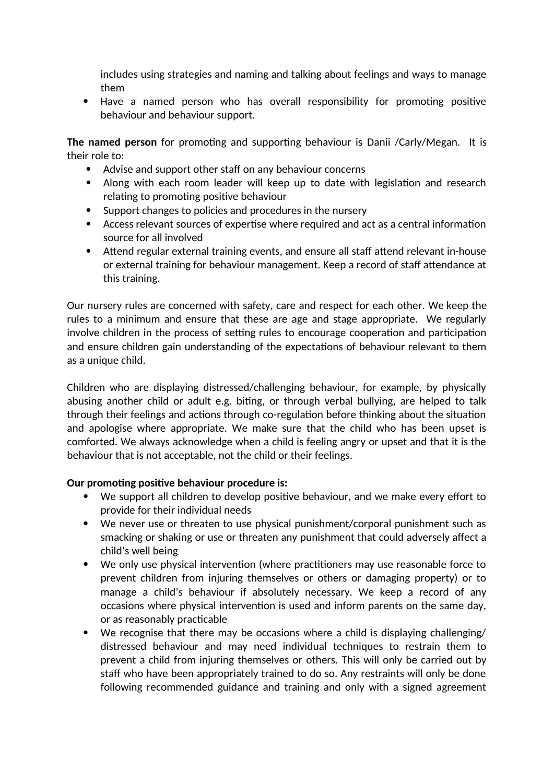includes using strategies and naming and talking about feelings and ways to manage them

 Have a named person who has overall responsibility for promoting positive behaviour and behaviour support.

**The named person** for promoting and supporting behaviour is Danii /Carly/Megan. It is their role to:

- Advise and support other staff on any behaviour concerns
- Along with each room leader will keep up to date with legislation and research relating to promoting positive behaviour
- Support changes to policies and procedures in the nursery
- Access relevant sources of expertise where required and act as a central information source for all involved
- Attend regular external training events, and ensure all staff attend relevant in-house or external training for behaviour management. Keep a record of staff attendance at this training.

Our nursery rules are concerned with safety, care and respect for each other. We keep the rules to a minimum and ensure that these are age and stage appropriate. We regularly involve children in the process of setting rules to encourage cooperation and participation and ensure children gain understanding of the expectations of behaviour relevant to them as a unique child.

Children who are displaying distressed/challenging behaviour, for example, by physically abusing another child or adult e.g. biting, or through verbal bullying, are helped to talk through their feelings and actions through co-regulation before thinking about the situation and apologise where appropriate. We make sure that the child who has been upset is comforted. We always acknowledge when a child is feeling angry or upset and that it is the behaviour that is not acceptable, not the child or their feelings.

## **Our promoting positive behaviour procedure is:**

- We support all children to develop positive behaviour, and we make every effort to provide for their individual needs
- We never use or threaten to use physical punishment/corporal punishment such as smacking or shaking or use or threaten any punishment that could adversely affect a child's well being
- We only use physical intervention (where practitioners may use reasonable force to prevent children from injuring themselves or others or damaging property) or to manage a child's behaviour if absolutely necessary. We keep a record of any occasions where physical intervention is used and inform parents on the same day, or as reasonably practicable
- We recognise that there may be occasions where a child is displaying challenging/ distressed behaviour and may need individual techniques to restrain them to prevent a child from injuring themselves or others. This will only be carried out by staff who have been appropriately trained to do so. Any restraints will only be done following recommended guidance and training and only with a signed agreement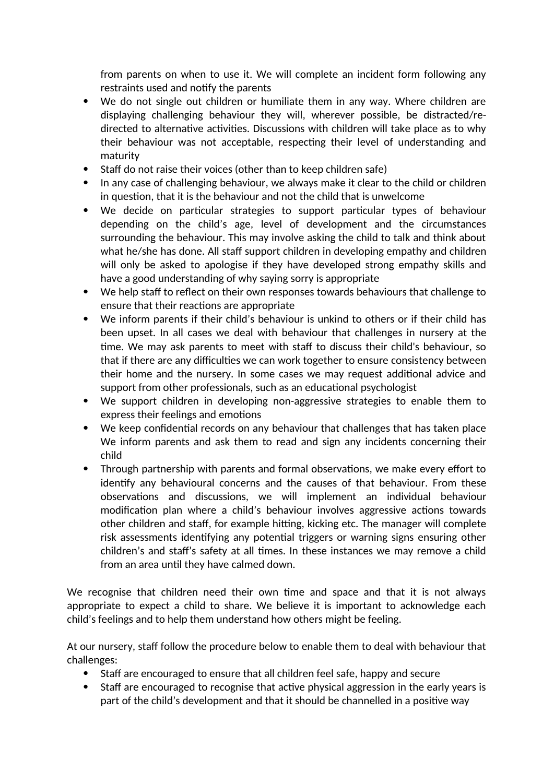from parents on when to use it. We will complete an incident form following any restraints used and notify the parents

- We do not single out children or humiliate them in any way. Where children are displaying challenging behaviour they will, wherever possible, be distracted/redirected to alternative activities. Discussions with children will take place as to why their behaviour was not acceptable, respecting their level of understanding and maturity
- $\bullet$  Staff do not raise their voices (other than to keep children safe)
- In any case of challenging behaviour, we always make it clear to the child or children in question, that it is the behaviour and not the child that is unwelcome
- We decide on particular strategies to support particular types of behaviour depending on the child's age, level of development and the circumstances surrounding the behaviour. This may involve asking the child to talk and think about what he/she has done. All staff support children in developing empathy and children will only be asked to apologise if they have developed strong empathy skills and have a good understanding of why saying sorry is appropriate
- We help staff to reflect on their own responses towards behaviours that challenge to ensure that their reactions are appropriate
- We inform parents if their child's behaviour is unkind to others or if their child has been upset. In all cases we deal with behaviour that challenges in nursery at the time. We may ask parents to meet with staff to discuss their child's behaviour, so that if there are any difficulties we can work together to ensure consistency between their home and the nursery. In some cases we may request additional advice and support from other professionals, such as an educational psychologist
- We support children in developing non-aggressive strategies to enable them to express their feelings and emotions
- We keep confidential records on any behaviour that challenges that has taken place We inform parents and ask them to read and sign any incidents concerning their child
- Through partnership with parents and formal observations, we make every effort to identify any behavioural concerns and the causes of that behaviour. From these observations and discussions, we will implement an individual behaviour modification plan where a child's behaviour involves aggressive actions towards other children and staff, for example hitting, kicking etc. The manager will complete risk assessments identifying any potential triggers or warning signs ensuring other children's and staff's safety at all times. In these instances we may remove a child from an area until they have calmed down.

We recognise that children need their own time and space and that it is not always appropriate to expect a child to share. We believe it is important to acknowledge each child's feelings and to help them understand how others might be feeling.

At our nursery, staff follow the procedure below to enable them to deal with behaviour that challenges:

- Staff are encouraged to ensure that all children feel safe, happy and secure
- Staff are encouraged to recognise that active physical aggression in the early years is part of the child's development and that it should be channelled in a positive way